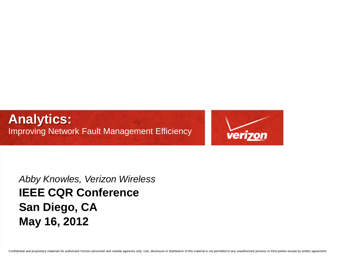**Analytics:**  Improving Network Fault Management Efficiency



*Abby Knowles, Verizon Wireless* **IEEE CQR Conference San Diego, CA May 16, 2012**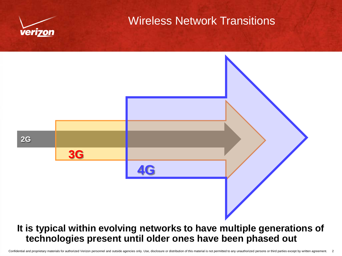

### Wireless Network Transitions

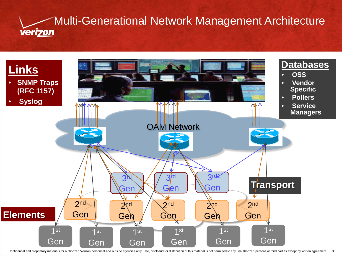

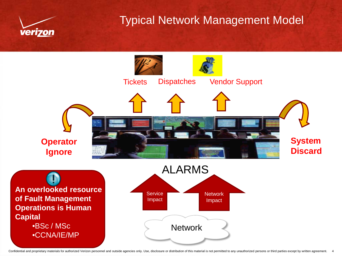

### Typical Network Management Model



Confidential and proprietary materials for authorized Verizon personnel and outside agencies only. Use, disclosure or distribution of this material is not permitted to any unauthorized persons or third parties except by wr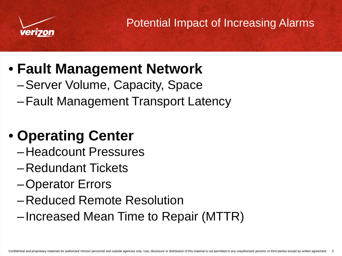

Potential Impact of Increasing Alarms

# • **Fault Management Network**

- –Server Volume, Capacity, Space
- –Fault Management Transport Latency

# • **Operating Center**

- –Headcount Pressures
- –Redundant Tickets
- –Operator Errors
- –Reduced Remote Resolution
- –Increased Mean Time to Repair (MTTR)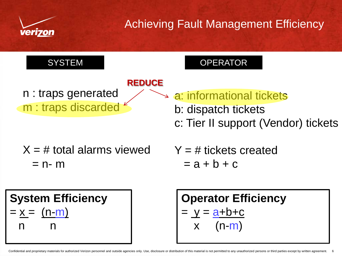

# Achieving Fault Management Efficiency





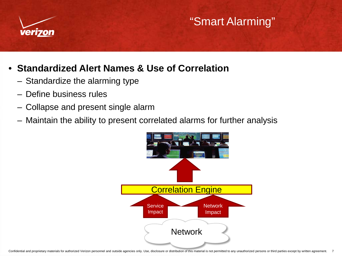

# "Smart Alarming"

#### • **Standardized Alert Names & Use of Correlation**

- Standardize the alarming type
- Define business rules
- Collapse and present single alarm
- Maintain the ability to present correlated alarms for further analysis

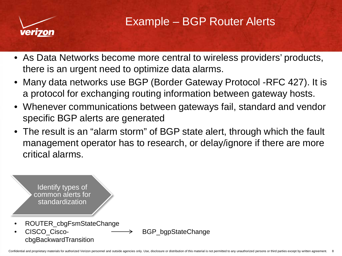

- As Data Networks become more central to wireless providers' products, there is an urgent need to optimize data alarms.
- Many data networks use BGP (Border Gateway Protocol -RFC 427). It is a protocol for exchanging routing information between gateway hosts.
- Whenever communications between gateways fail, standard and vendor specific BGP alerts are generated
- The result is an "alarm storm" of BGP state alert, through which the fault management operator has to research, or delay/ignore if there are more critical alarms.